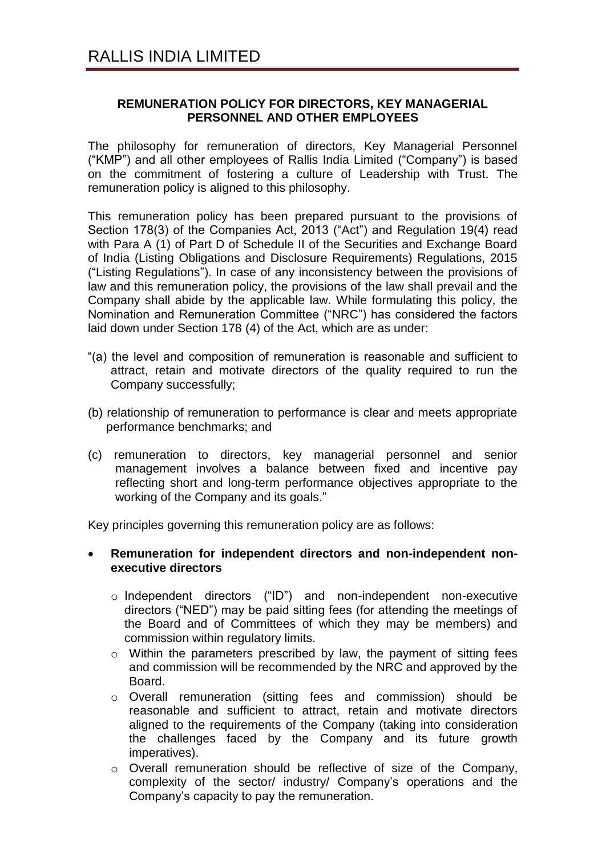## **REMUNERATION POLICY FOR DIRECTORS, KEY MANAGERIAL PERSONNEL AND OTHER EMPLOYEES**

The philosophy for remuneration of directors, Key Managerial Personnel ("KMP") and all other employees of Rallis India Limited ("Company") is based on the commitment of fostering a culture of Leadership with Trust. The remuneration policy is aligned to this philosophy.

This remuneration policy has been prepared pursuant to the provisions of Section 178(3) of the Companies Act, 2013 ("Act") and Regulation 19(4) read with Para A (1) of Part D of Schedule II of the Securities and Exchange Board of India (Listing Obligations and Disclosure Requirements) Regulations, 2015 ("Listing Regulations"). In case of any inconsistency between the provisions of law and this remuneration policy, the provisions of the law shall prevail and the Company shall abide by the applicable law. While formulating this policy, the Nomination and Remuneration Committee ("NRC") has considered the factors laid down under Section 178 (4) of the Act, which are as under:

- "(a) the level and composition of remuneration is reasonable and sufficient to attract, retain and motivate directors of the quality required to run the Company successfully;
- (b) relationship of remuneration to performance is clear and meets appropriate performance benchmarks; and
- (c) remuneration to directors, key managerial personnel and senior management involves a balance between fixed and incentive pay reflecting short and long-term performance objectives appropriate to the working of the Company and its goals."

Key principles governing this remuneration policy are as follows:

- **Remuneration for independent directors and non-independent nonexecutive directors** 
	- o Independent directors ("ID") and non-independent non-executive directors ("NED") may be paid sitting fees (for attending the meetings of the Board and of Committees of which they may be members) and commission within regulatory limits.
	- o Within the parameters prescribed by law, the payment of sitting fees and commission will be recommended by the NRC and approved by the Board.
	- o Overall remuneration (sitting fees and commission) should be reasonable and sufficient to attract, retain and motivate directors aligned to the requirements of the Company (taking into consideration the challenges faced by the Company and its future growth imperatives).
	- o Overall remuneration should be reflective of size of the Company, complexity of the sector/ industry/ Company's operations and the Company's capacity to pay the remuneration.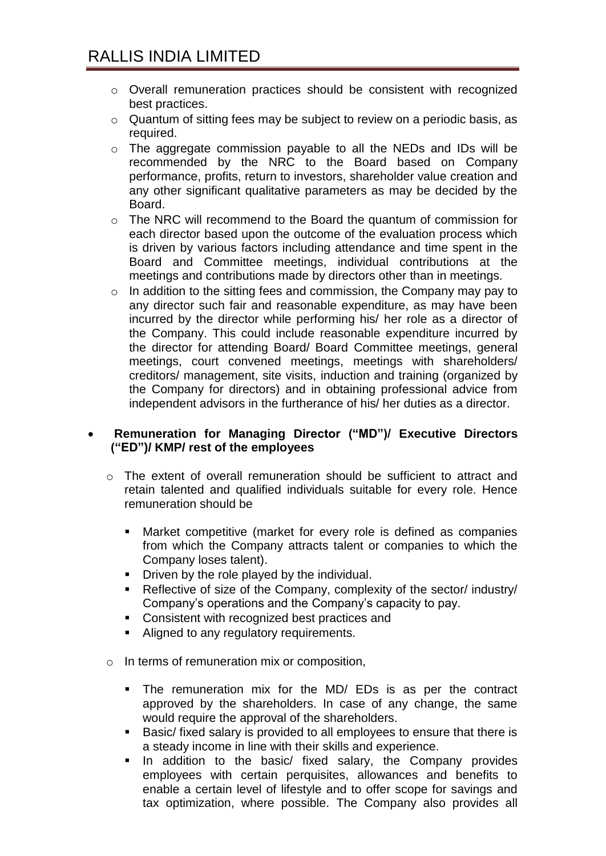- o Overall remuneration practices should be consistent with recognized best practices.
- o Quantum of sitting fees may be subject to review on a periodic basis, as required.
- o The aggregate commission payable to all the NEDs and IDs will be recommended by the NRC to the Board based on Company performance, profits, return to investors, shareholder value creation and any other significant qualitative parameters as may be decided by the Board.
- o The NRC will recommend to the Board the quantum of commission for each director based upon the outcome of the evaluation process which is driven by various factors including attendance and time spent in the Board and Committee meetings, individual contributions at the meetings and contributions made by directors other than in meetings.
- o In addition to the sitting fees and commission, the Company may pay to any director such fair and reasonable expenditure, as may have been incurred by the director while performing his/ her role as a director of the Company. This could include reasonable expenditure incurred by the director for attending Board/ Board Committee meetings, general meetings, court convened meetings, meetings with shareholders/ creditors/ management, site visits, induction and training (organized by the Company for directors) and in obtaining professional advice from independent advisors in the furtherance of his/ her duties as a director.

## **Remuneration for Managing Director ("MD")/ Executive Directors ("ED")/ KMP/ rest of the employees**

- o The extent of overall remuneration should be sufficient to attract and retain talented and qualified individuals suitable for every role. Hence remuneration should be
	- Market competitive (market for every role is defined as companies from which the Company attracts talent or companies to which the Company loses talent).
	- Driven by the role played by the individual.
	- Reflective of size of the Company, complexity of the sector/ industry/ Company's operations and the Company's capacity to pay.
	- **Consistent with recognized best practices and**
	- **Aligned to any regulatory requirements.**
- o In terms of remuneration mix or composition,
	- The remuneration mix for the MD/ EDs is as per the contract approved by the shareholders. In case of any change, the same would require the approval of the shareholders.
	- Basic/ fixed salary is provided to all employees to ensure that there is a steady income in line with their skills and experience.
	- **In addition to the basic/ fixed salary, the Company provides** employees with certain perquisites, allowances and benefits to enable a certain level of lifestyle and to offer scope for savings and tax optimization, where possible. The Company also provides all